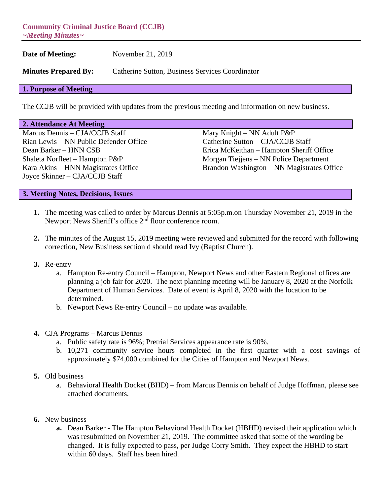**Community Criminal Justice Board (CCJB)** *~Meeting Minutes~*

**Date of Meeting:** November 21, 2019 **Minutes Prepared By:** Catherine Sutton, Business Services Coordinator

### **1. Purpose of Meeting**

The CCJB will be provided with updates from the previous meeting and information on new business.

#### **2. Attendance At Meeting**

Marcus Dennis – CJA/CCJB Staff Mary Knight – NN Adult P&P Rian Lewis – NN Public Defender Office Catherine Sutton – CJA/CCJB Staff Joyce Skinner – CJA/CCJB Staff

Dean Barker – HNN CSB Erica McKeithan – Hampton Sheriff Office Shaleta Norfleet – Hampton P&P Morgan Tiejjens – NN Police Department Kara Akins – HNN Magistrates Office Brandon Washington – NN Magistrates Office

### **3. Meeting Notes, Decisions, Issues**

- **1.** The meeting was called to order by Marcus Dennis at 5:05p.m.on Thursday November 21, 2019 in the Newport News Sheriff's office 2<sup>nd</sup> floor conference room.
- **2.** The minutes of the August 15, 2019 meeting were reviewed and submitted for the record with following correction, New Business section d should read Ivy (Baptist Church).
- **3.** Re-entry
	- a. Hampton Re-entry Council Hampton, Newport News and other Eastern Regional offices are planning a job fair for 2020. The next planning meeting will be January 8, 2020 at the Norfolk Department of Human Services. Date of event is April 8, 2020 with the location to be determined.
	- b. Newport News Re-entry Council no update was available.
- **4.** CJA Programs Marcus Dennis
	- a. Public safety rate is 96%; Pretrial Services appearance rate is 90%.
	- b. 10,271 community service hours completed in the first quarter with a cost savings of approximately \$74,000 combined for the Cities of Hampton and Newport News.
- **5.** Old business
	- a. Behavioral Health Docket (BHD) from Marcus Dennis on behalf of Judge Hoffman, please see attached documents.
- **6.** New business
	- **a.** Dean Barker The Hampton Behavioral Health Docket (HBHD) revised their application which was resubmitted on November 21, 2019. The committee asked that some of the wording be changed. It is fully expected to pass, per Judge Corry Smith. They expect the HBHD to start within 60 days. Staff has been hired.